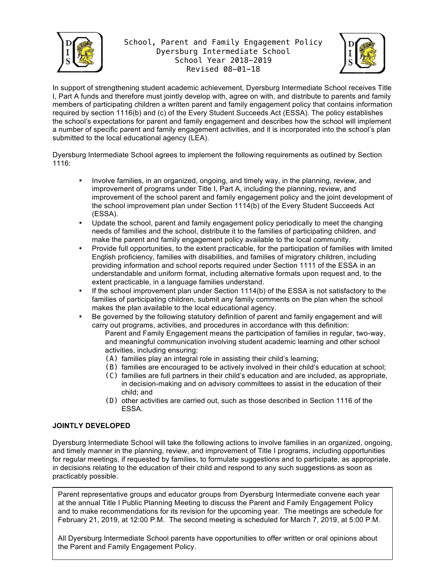

# School, Parent and Family Engagement Policy Dyersburg Intermediate School School Year 2018-2019 Revised 08-01-18



In support of strengthening student academic achievement, Dyersburg Intermediate School receives Title I, Part A funds and therefore must jointly develop with, agree on with, and distribute to parents and family members of participating children a written parent and family engagement policy that contains information required by section 1116(b) and (c) of the Every Student Succeeds Act (ESSA). The policy establishes the school's expectations for parent and family engagement and describes how the school will implement a number of specific parent and family engagement activities, and it is incorporated into the school's plan submitted to the local educational agency (LEA).

Dyersburg Intermediate School agrees to implement the following requirements as outlined by Section 1116:

- Involve families, in an organized, ongoing, and timely way, in the planning, review, and improvement of programs under Title I, Part A, including the planning, review, and improvement of the school parent and family engagement policy and the joint development of the school improvement plan under Section 1114(b) of the Every Student Succeeds Act (ESSA).
- Update the school, parent and family engagement policy periodically to meet the changing needs of families and the school, distribute it to the families of participating children, and make the parent and family engagement policy available to the local community.
- Provide full opportunities, to the extent practicable, for the participation of families with limited English proficiency, families with disabilities, and families of migratory children, including providing information and school reports required under Section 1111 of the ESSA in an understandable and uniform format, including alternative formats upon request and, to the extent practicable, in a language families understand.
- If the school improvement plan under Section 1114(b) of the ESSA is not satisfactory to the families of participating children, submit any family comments on the plan when the school makes the plan available to the local educational agency.
- Be governed by the following statutory definition of parent and family engagement and will carry out programs, activities, and procedures in accordance with this definition:

Parent and Family Engagement means the participation of families in regular, two-way, and meaningful communication involving student academic learning and other school activities, including ensuring:

- (A) families play an integral role in assisting their child's learning;
- (B) families are encouraged to be actively involved in their child's education at school;
- (C) families are full partners in their child's education and are included, as appropriate, in decision-making and on advisory committees to assist in the education of their child; and
- (D) other activities are carried out, such as those described in Section 1116 of the ESSA.

### **JOINTLY DEVELOPED**

Dyersburg Intermediate School will take the following actions to involve families in an organized, ongoing, and timely manner in the planning, review, and improvement of Title I programs, including opportunities for regular meetings, if requested by families, to formulate suggestions and to participate, as appropriate, in decisions relating to the education of their child and respond to any such suggestions as soon as practicably possible.

Parent representative groups and educator groups from Dyersburg Intermediate convene each year at the annual Title I Public Planning Meeting to discuss the Parent and Family Engagement Policy and to make recommendations for its revision for the upcoming year. The meetings are schedule for February 21, 2019, at 12:00 P.M. The second meeting is scheduled for March 7, 2019, at 5:00 P.M.

All Dyersburg Intermediate School parents have opportunities to offer written or oral opinions about the Parent and Family Engagement Policy.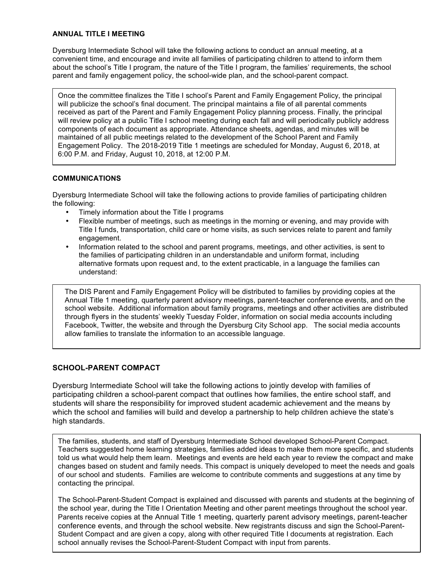### **ANNUAL TITLE I MEETING**

Dyersburg Intermediate School will take the following actions to conduct an annual meeting, at a convenient time, and encourage and invite all families of participating children to attend to inform them about the school's Title I program, the nature of the Title I program, the families' requirements, the school parent and family engagement policy, the school-wide plan, and the school-parent compact.

Once the committee finalizes the Title I school's Parent and Family Engagement Policy, the principal will publicize the school's final document. The principal maintains a file of all parental comments received as part of the Parent and Family Engagement Policy planning process. Finally, the principal will review policy at a public Title I school meeting during each fall and will periodically publicly address components of each document as appropriate. Attendance sheets, agendas, and minutes will be maintained of all public meetings related to the development of the School Parent and Family Engagement Policy. The 2018-2019 Title 1 meetings are scheduled for Monday, August 6, 2018, at 6:00 P.M. and Friday, August 10, 2018, at 12:00 P.M.

### **COMMUNICATIONS**

Dyersburg Intermediate School will take the following actions to provide families of participating children the following:

- Timely information about the Title I programs
- Flexible number of meetings, such as meetings in the morning or evening, and may provide with Title I funds, transportation, child care or home visits, as such services relate to parent and family engagement.
- Information related to the school and parent programs, meetings, and other activities, is sent to the families of participating children in an understandable and uniform format, including alternative formats upon request and, to the extent practicable, in a language the families can understand:

The DIS Parent and Family Engagement Policy will be distributed to families by providing copies at the Annual Title 1 meeting, quarterly parent advisory meetings, parent-teacher conference events, and on the school website. Additional information about family programs, meetings and other activities are distributed through flyers in the students' weekly Tuesday Folder, information on social media accounts including Facebook, Twitter, the website and through the Dyersburg City School app. The social media accounts allow families to translate the information to an accessible language.

### **SCHOOL-PARENT COMPACT**

Dyersburg Intermediate School will take the following actions to jointly develop with families of participating children a school-parent compact that outlines how families, the entire school staff, and students will share the responsibility for improved student academic achievement and the means by which the school and families will build and develop a partnership to help children achieve the state's high standards.

The families, students, and staff of Dyersburg Intermediate School developed School-Parent Compact. Teachers suggested home learning strategies, families added ideas to make them more specific, and students told us what would help them learn. Meetings and events are held each year to review the compact and make changes based on student and family needs. This compact is uniquely developed to meet the needs and goals of our school and students. Families are welcome to contribute comments and suggestions at any time by contacting the principal.

The School-Parent-Student Compact is explained and discussed with parents and students at the beginning of the school year, during the Title I Orientation Meeting and other parent meetings throughout the school year. Parents receive copies at the Annual Title 1 meeting, quarterly parent advisory meetings, parent-teacher conference events, and through the school website. New registrants discuss and sign the School-Parent-Student Compact and are given a copy, along with other required Title I documents at registration. Each school annually revises the School-Parent-Student Compact with input from parents.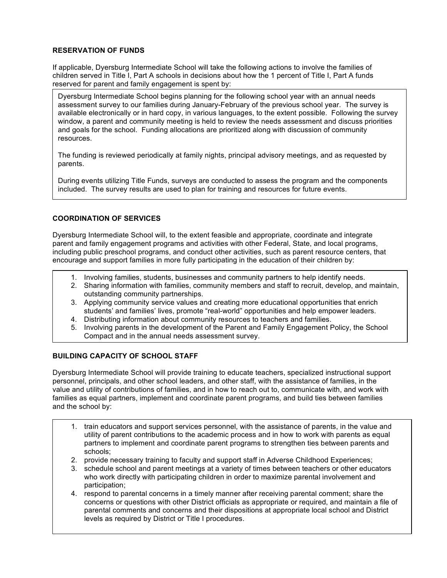## **RESERVATION OF FUNDS**

If applicable, Dyersburg Intermediate School will take the following actions to involve the families of children served in Title I, Part A schools in decisions about how the 1 percent of Title I, Part A funds reserved for parent and family engagement is spent by:

Dyersburg Intermediate School begins planning for the following school year with an annual needs assessment survey to our families during January-February of the previous school year. The survey is available electronically or in hard copy, in various languages, to the extent possible. Following the survey window, a parent and community meeting is held to review the needs assessment and discuss priorities and goals for the school. Funding allocations are prioritized along with discussion of community resources.

The funding is reviewed periodically at family nights, principal advisory meetings, and as requested by parents.

During events utilizing Title Funds, surveys are conducted to assess the program and the components included. The survey results are used to plan for training and resources for future events.

## **COORDINATION OF SERVICES**

Dyersburg Intermediate School will, to the extent feasible and appropriate, coordinate and integrate parent and family engagement programs and activities with other Federal, State, and local programs, including public preschool programs, and conduct other activities, such as parent resource centers, that encourage and support families in more fully participating in the education of their children by:

- 1. Involving families, students, businesses and community partners to help identify needs.
- 2. Sharing information with families, community members and staff to recruit, develop, and maintain, outstanding community partnerships.
- 3. Applying community service values and creating more educational opportunities that enrich students' and families' lives, promote "real-world" opportunities and help empower leaders.
- 4. Distributing information about community resources to teachers and families.
- 5. Involving parents in the development of the Parent and Family Engagement Policy, the School Compact and in the annual needs assessment survey.

### **BUILDING CAPACITY OF SCHOOL STAFF**

Dyersburg Intermediate School will provide training to educate teachers, specialized instructional support personnel, principals, and other school leaders, and other staff, with the assistance of families, in the value and utility of contributions of families, and in how to reach out to, communicate with, and work with families as equal partners, implement and coordinate parent programs, and build ties between families and the school by:

- 1. train educators and support services personnel, with the assistance of parents, in the value and utility of parent contributions to the academic process and in how to work with parents as equal partners to implement and coordinate parent programs to strengthen ties between parents and schools;
- 2. provide necessary training to faculty and support staff in Adverse Childhood Experiences;
- 3. schedule school and parent meetings at a variety of times between teachers or other educators who work directly with participating children in order to maximize parental involvement and participation;
- 4. respond to parental concerns in a timely manner after receiving parental comment; share the concerns or questions with other District officials as appropriate or required, and maintain a file of parental comments and concerns and their dispositions at appropriate local school and District levels as required by District or Title I procedures.